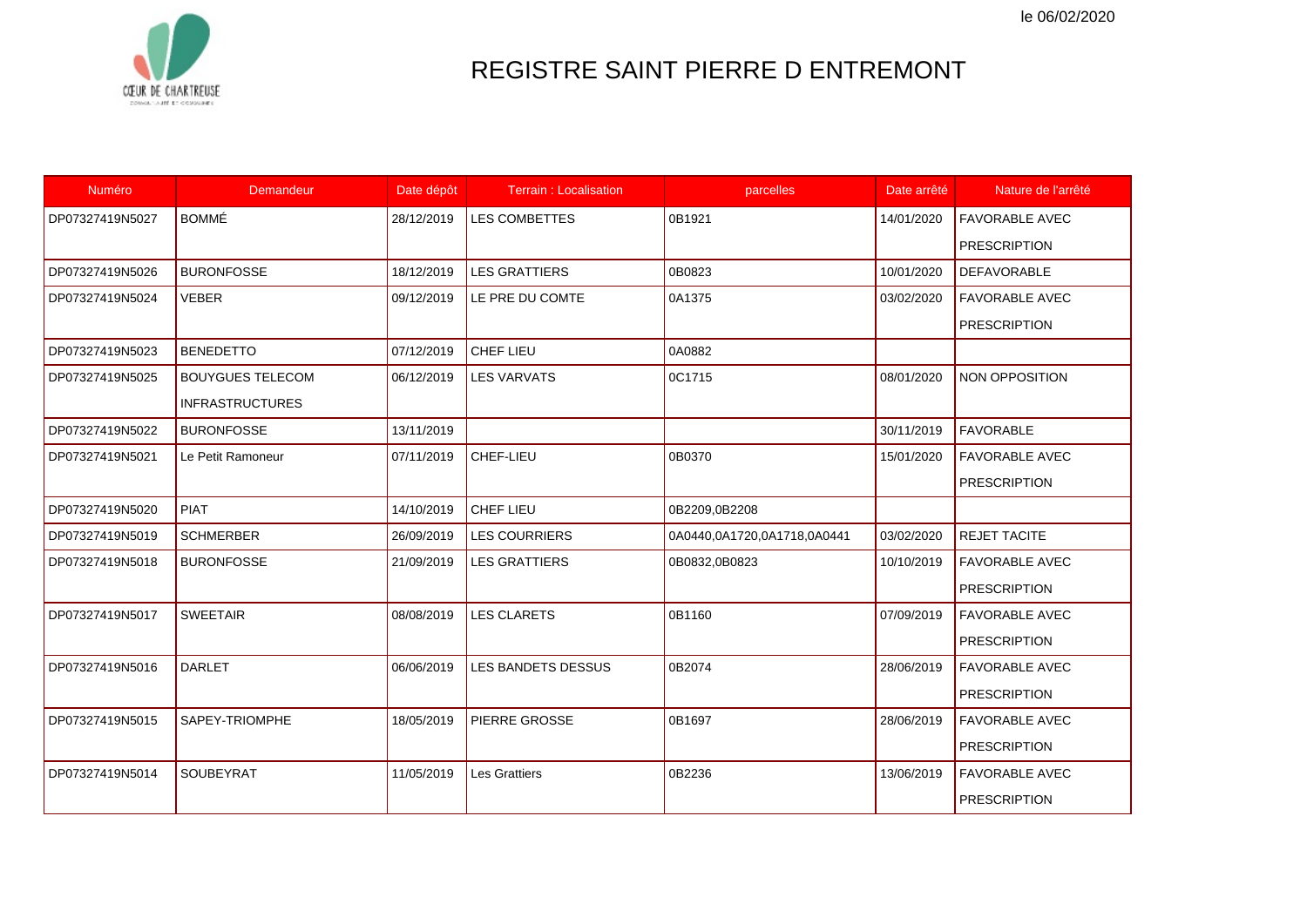le 06/02/2020



## REGISTRE SAINT PIERRE D ENTREMONT

| Numéro          | Demandeur               | Date dépôt | <b>Terrain: Localisation</b> | parcelles                   | Date arrêté | Nature de l'arrêté    |
|-----------------|-------------------------|------------|------------------------------|-----------------------------|-------------|-----------------------|
| DP07327419N5027 | <b>BOMMÉ</b>            | 28/12/2019 | <b>LES COMBETTES</b>         | 0B1921                      | 14/01/2020  | <b>FAVORABLE AVEC</b> |
|                 |                         |            |                              |                             |             | <b>PRESCRIPTION</b>   |
| DP07327419N5026 | <b>BURONFOSSE</b>       | 18/12/2019 | <b>LES GRATTIERS</b>         | 0B0823                      | 10/01/2020  | <b>DEFAVORABLE</b>    |
| DP07327419N5024 | <b>VEBER</b>            | 09/12/2019 | LE PRE DU COMTE              | 0A1375                      | 03/02/2020  | <b>FAVORABLE AVEC</b> |
|                 |                         |            |                              |                             |             | <b>PRESCRIPTION</b>   |
| DP07327419N5023 | <b>BENEDETTO</b>        | 07/12/2019 | CHEF LIEU                    | 0A0882                      |             |                       |
| DP07327419N5025 | <b>BOUYGUES TELECOM</b> | 06/12/2019 | <b>LES VARVATS</b>           | 0C1715                      | 08/01/2020  | NON OPPOSITION        |
|                 | <b>INFRASTRUCTURES</b>  |            |                              |                             |             |                       |
| DP07327419N5022 | <b>BURONFOSSE</b>       | 13/11/2019 |                              |                             | 30/11/2019  | <b>FAVORABLE</b>      |
| DP07327419N5021 | Le Petit Ramoneur       | 07/11/2019 | CHEF-LIEU                    | 0B0370                      | 15/01/2020  | <b>FAVORABLE AVEC</b> |
|                 |                         |            |                              |                             |             | <b>PRESCRIPTION</b>   |
| DP07327419N5020 | <b>PIAT</b>             | 14/10/2019 | CHEF LIEU                    | 0B2209,0B2208               |             |                       |
| DP07327419N5019 | <b>SCHMERBER</b>        | 26/09/2019 | <b>LES COURRIERS</b>         | 0A0440,0A1720,0A1718,0A0441 | 03/02/2020  | <b>REJET TACITE</b>   |
| DP07327419N5018 | <b>BURONFOSSE</b>       | 21/09/2019 | <b>LES GRATTIERS</b>         | 0B0832,0B0823               | 10/10/2019  | <b>FAVORABLE AVEC</b> |
|                 |                         |            |                              |                             |             | <b>PRESCRIPTION</b>   |
| DP07327419N5017 | <b>SWEETAIR</b>         | 08/08/2019 | <b>LES CLARETS</b>           | 0B1160                      | 07/09/2019  | <b>FAVORABLE AVEC</b> |
|                 |                         |            |                              |                             |             | <b>PRESCRIPTION</b>   |
| DP07327419N5016 | <b>DARLET</b>           | 06/06/2019 | LES BANDETS DESSUS           | 0B2074                      | 28/06/2019  | <b>FAVORABLE AVEC</b> |
|                 |                         |            |                              |                             |             | <b>PRESCRIPTION</b>   |
| DP07327419N5015 | SAPEY-TRIOMPHE          | 18/05/2019 | PIERRE GROSSE                | 0B1697                      | 28/06/2019  | <b>FAVORABLE AVEC</b> |
|                 |                         |            |                              |                             |             | <b>PRESCRIPTION</b>   |
| DP07327419N5014 | SOUBEYRAT               | 11/05/2019 | <b>Les Grattiers</b>         | 0B2236                      | 13/06/2019  | <b>FAVORABLE AVEC</b> |
|                 |                         |            |                              |                             |             | <b>PRESCRIPTION</b>   |